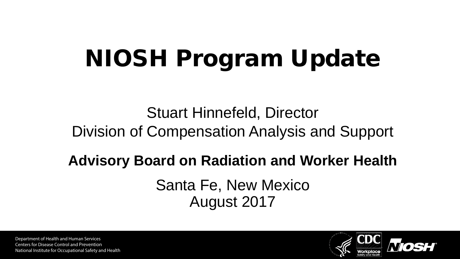# NIOSH Program Update

Stuart Hinnefeld, Director Division of Compensation Analysis and Support

## **Advisory Board on Radiation and Worker Health**

Santa Fe, New Mexico August 2017

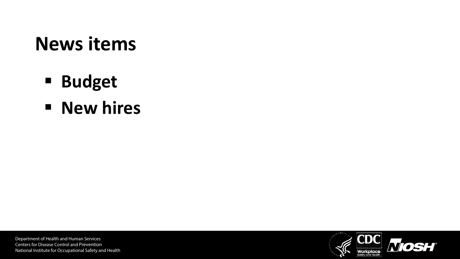#### **News items**

- **Budget**
- **New hires**

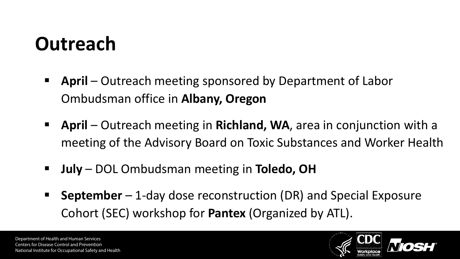#### **Outreach**

- **April** Outreach meeting sponsored by Department of Labor Ombudsman office in **Albany, Oregon**
- **April** Outreach meeting in **Richland, WA**, area in conjunction with a meeting of the Advisory Board on Toxic Substances and Worker Health
- **July**  DOL Ombudsman meeting in **Toledo, OH**
- **September** 1-day dose reconstruction (DR) and Special Exposure Cohort (SEC) workshop for **Pantex** (Organized by ATL).

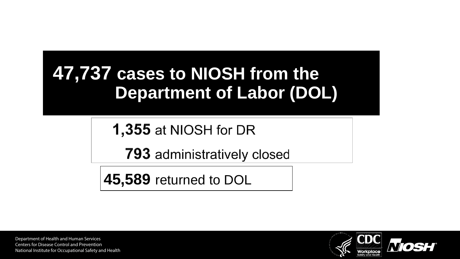#### **47,737 cases to NIOSH from the Department of Labor (DOL)**

**1,355 at NIOSH for DR** 

**793** administratively closed

**45,589** returned to DOL

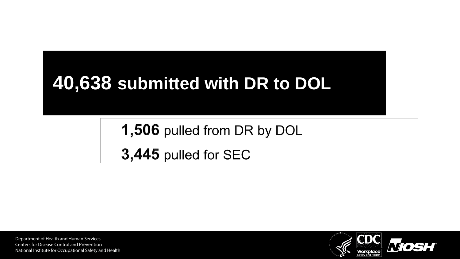#### **40,638 submitted with DR to DOL**

1,506 pulled from DR by DOL 3,445 pulled for SEC

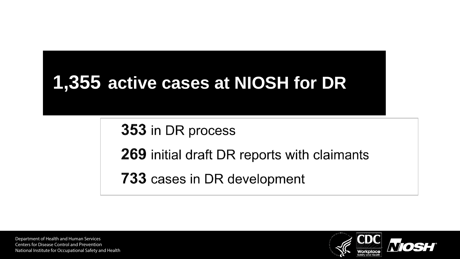#### **1,355 active cases at NIOSH for DR**

353 in DR process

**269** initial draft DR reports with claimants

**733** cases in DR development

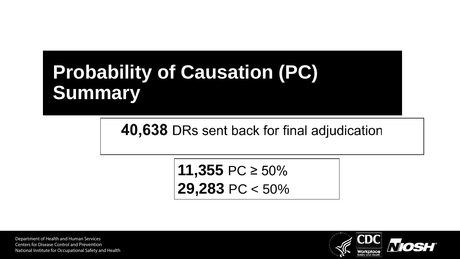#### **Probability of Causation (PC) Summary**

40,638 DRs sent back for final adjudication

**11,355** PC ≥ 50% **29,283** PC < 50%

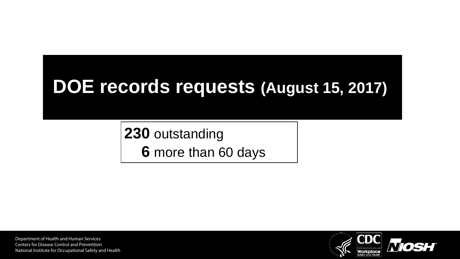#### **DOE records requests (August 15, 2017)**

**230** outstanding **6** more than 60 days